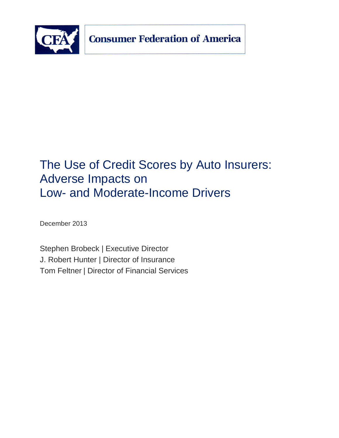

# The Use of Credit Scores by Auto Insurers: Adverse Impacts on Low- and Moderate-Income Drivers

December 2013

Stephen Brobeck | Executive Director J. Robert Hunter | Director of Insurance Tom Feltner | Director of Financial Services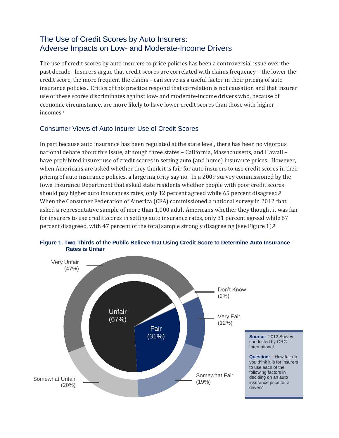## The Use of Credit Scores by Auto Insurers: Adverse Impacts on Low- and Moderate-Income Drivers

The use of credit scores by auto insurers to price policies has been a controversial issue over the past decade. Insurers argue that credit scores are correlated with claims frequency – the lower the credit score, the more frequent the claims – can serve as a useful factor in their pricing of auto insurance policies. Critics of this practice respond that correlation is not causation and that insurer use of these scores discriminates against low- and moderate-income drivers who, because of economic circumstance, are more likely to have lower credit scores than those with higher incomes.<sup>1</sup>

## Consumer Views of Auto Insurer Use of Credit Scores

In part because auto insurance has been regulated at the state level, there has been no vigorous national debate about this issue, although three states – California, Massachusetts, and Hawaii – have prohibited insurer use of credit scores in setting auto (and home) insurance prices. However, when Americans are asked whether they think it is fair for auto insurers to use credit scores in their pricing of auto insurance policies, a large majority say no. In a 2009 survey commissioned by the Iowa Insurance Department that asked state residents whether people with poor credit scores should pay higher auto insurances rates, only 12 percent agreed while 65 percent disagreed.<sup>2</sup> When the Consumer Federation of America (CFA) commissioned a national survey in 2012 that asked a representative sample of more than 1,000 adult Americans whether they thought it was fair for insurers to use credit scores in setting auto insurance rates, only 31 percent agreed while 67 percent disagreed, with 47 percent of the total sample strongly disagreeing (see Figure 1). 3



**Figure 1. Two-Thirds of the Public Believe that Using Credit Score to Determine Auto Insurance Rates is Unfair**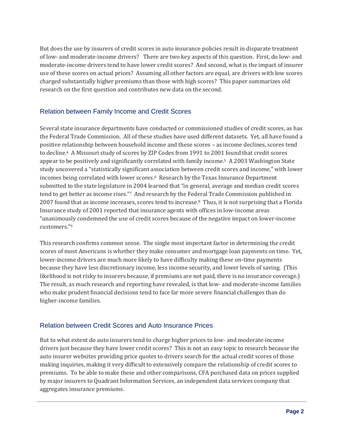But does the use by insurers of credit scores in auto insurance policies result in disparate treatment of low- and moderate-income drivers? There are two key aspects of this question. First, do low- and moderate-income drivers tend to have lower credit scores? And second, what is the impact of insurer use of these scores on actual prices? Assuming all other factors are equal, are drivers with low scores charged substantially higher premiums than those with high scores? This paper summarizes old research on the first question and contributes new data on the second.

## Relation between Family Income and Credit Scores

Several state insurance departments have conducted or commissioned studies of credit scores, as has the Federal Trade Commission. All of these studies have used different datasets. Yet, all have found a positive relationship between household income and these scores – as income declines, scores tend to decline.4 A Missouri study of scores by ZIP Codes from 1991 to 2001 found that credit scores appear to be positively and significantly correlated with family income.5 A 2003 Washington State study uncovered a "statistically significant association between credit scores and income," with lower incomes being correlated with lower scores.<sup>6</sup> Research by the Texas Insurance Department submitted to the state legislature in 2004 learned that "in general, average and median credit scores tend to get better as income rises."7 And research by the Federal Trade Commission published in 2007 found that as income increases, scores tend to increase.8 Thus, it is not surprising that a Florida Insurance study of 2001 reported that insurance agents with offices in low-income areas "unanimously condemned the use of credit scores because of the negative impact on lower-income customers."<sup>9</sup>

This research confirms common sense. The single most important factor in determining the credit scores of most Americans is whether they make consumer and mortgage loan payments on time. Yet, lower-income drivers are much more likely to have difficulty making these on-time payments because they have less discretionary income, less income security, and lower levels of saving. (This likelihood is not risky to insurers because, if premiums are not paid, there is no insurance coverage.) The result, as much research and reporting have revealed, is that low- and moderate-income families who make prudent financial decisions tend to face far more severe financial challenges than do higher-income families.

## Relation between Credit Scores and Auto Insurance Prices

But to what extent do auto insurers tend to charge higher prices to low- and moderate-income drivers just because they have lower credit scores? This is not an easy topic to research because the auto insurer websites providing price quotes to drivers search for the actual credit scores of those making inquiries, making it very difficult to extensively compare the relationship of credit scores to premiums. To be able to make these and other comparisons, CFA purchased data on prices supplied by major insurers to Quadrant Information Services, an independent data services company that aggregates insurance premiums.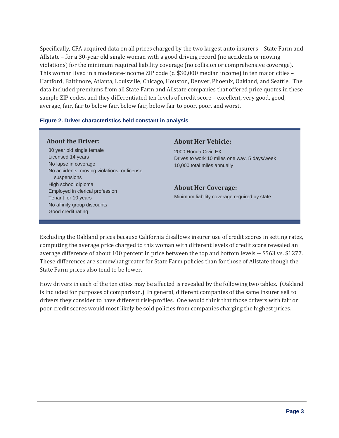Specifically, CFA acquired data on all prices charged by the two largest auto insurers – State Farm and Allstate – for a 30-year old single woman with a good driving record (no accidents or moving violations) for the minimum required liability coverage (no collision or comprehensive coverage). This woman lived in a moderate-income ZIP code (c. \$30,000 median income) in ten major cities – Hartford, Baltimore, Atlanta, Louisville, Chicago, Houston, Denver, Phoenix, Oakland, and Seattle. The data included premiums from all State Farm and Allstate companies that offered price quotes in these sample ZIP codes, and they differentiated ten levels of credit score – excellent, very good, good, average, fair, fair to below fair, below fair, below fair to poor, poor, and worst.

#### **Figure 2. Driver characteristics held constant in analysis**

#### **About the Driver:**

 30 year old single female Licensed 14 years No lapse in coverage No accidents, moving violations, or license suspensions High school diploma Employed in clerical profession Tenant for 10 years No affinity group discounts Good credit rating

#### **About Her Vehicle:**

2000 Honda Civic EX Drives to work 10 miles one way, 5 days/week 10,000 total miles annually

#### **About Her Coverage:**

Minimum liability coverage required by state

Excluding the Oakland prices because California disallows insurer use of credit scores in setting rates, computing the average price charged to this woman with different levels of credit score revealed an average difference of about 100 percent in price between the top and bottom levels -- \$563 vs. \$1277. These differences are somewhat greater for State Farm policies than for those of Allstate though the State Farm prices also tend to be lower.

How drivers in each of the ten cities may be affected is revealed by the following two tables. (Oakland is included for purposes of comparison.) In general, different companies of the same insurer sell to drivers they consider to have different risk-profiles. One would think that those drivers with fair or poor credit scores would most likely be sold policies from companies charging the highest prices.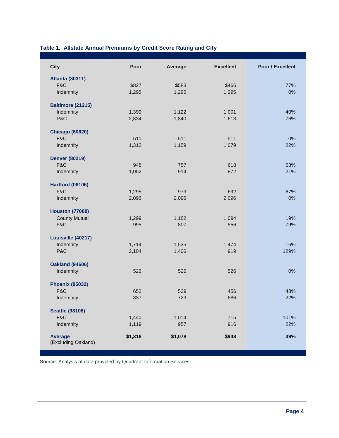## **Table 1. Allstate Annual Premiums by Credit Score Rating and City**

| <b>City</b>                     | Poor    | Average | <b>Excellent</b> | Poor / Excellent |
|---------------------------------|---------|---------|------------------|------------------|
| <b>Atlanta (30311)</b>          |         |         |                  |                  |
| F&C                             | \$827   | \$583   | \$466            | 77%              |
| Indemnity                       | 1,295   | 1,295   | 1,295            | 0%               |
|                                 |         |         |                  |                  |
| <b>Baltimore (21215)</b>        |         |         |                  |                  |
| Indemnity                       | 1,399   | 1,122   | 1,001            | 40%              |
| P&C                             | 2,834   | 1,840   | 1,613            | 76%              |
| <b>Chicago (60620)</b>          |         |         |                  |                  |
| F&C                             | 511     | 511     | 511              | 0%               |
| Indemnity                       | 1,312   | 1,159   | 1,079            | 22%              |
|                                 |         |         |                  |                  |
| <b>Denver (80219)</b>           |         |         |                  |                  |
| F&C                             | 948     | 757     | 618              | 53%              |
| Indemnity                       | 1,052   | 914     | 872              | 21%              |
|                                 |         |         |                  |                  |
| <b>Hartford (06106)</b>         |         |         |                  |                  |
| F&C                             | 1,295   | 979     | 692              | 87%              |
| Indemnity                       | 2,096   | 2,096   | 2,096            | 0%               |
| <b>Houston (77088)</b>          |         |         |                  |                  |
| <b>County Mutual</b>            | 1,299   | 1,182   | 1,094            | 19%              |
| F&C                             | 995     | 807     | 556              | 79%              |
|                                 |         |         |                  |                  |
| Louisville (40217)<br>Indemnity | 1,714   | 1,535   | 1,474            | 16%              |
| P&C                             | 2,104   | 1,406   | 919              | 129%             |
|                                 |         |         |                  |                  |
| <b>Oakland (94606)</b>          |         |         |                  |                  |
| Indemnity                       | 526     | 526     | 526              | 0%               |
| <b>Phoenix (85032)</b>          |         |         |                  |                  |
| F&C                             | 652     | 529     | 456              | 43%              |
| Indemnity                       | 837     | 723     | 686              | 22%              |
|                                 |         |         |                  |                  |
| <b>Seattle (98108)</b>          |         |         |                  |                  |
| F&C                             | 1,440   | 1,014   | 715              | 101%             |
| Indemnity                       | 1,119   | 957     | 916              | 22%              |
| <b>Average</b>                  | \$1,318 | \$1,078 | \$948            | 39%              |
| (Excluding Oakland)             |         |         |                  |                  |
|                                 |         |         |                  |                  |

Source: Analysis of data provided by Quadrant Information Services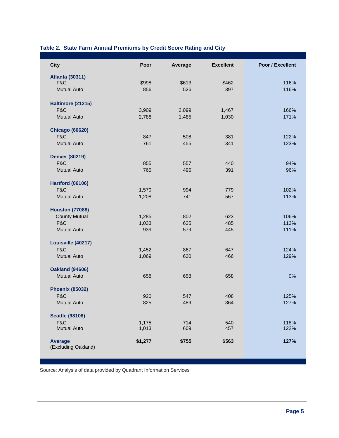#### **Table 2. State Farm Annual Premiums by Credit Score Rating and City**

| <b>City</b>                           | Poor    | Average | <b>Excellent</b> | Poor / Excellent |
|---------------------------------------|---------|---------|------------------|------------------|
| <b>Atlanta (30311)</b>                |         |         |                  |                  |
| F&C                                   | \$998   | \$613   | \$462            | 116%             |
| <b>Mutual Auto</b>                    | 856     | 526     | 397              | 116%             |
| <b>Baltimore (21215)</b>              |         |         |                  |                  |
| F&C                                   | 3,909   | 2,099   | 1,467            | 166%             |
| <b>Mutual Auto</b>                    | 2,788   | 1,485   | 1,030            | 171%             |
| <b>Chicago (60620)</b>                |         |         |                  |                  |
| F&C                                   | 847     | 508     | 381              | 122%             |
| <b>Mutual Auto</b>                    | 761     | 455     | 341              | 123%             |
| <b>Denver (80219)</b>                 |         |         |                  |                  |
| F&C                                   | 855     | 557     | 440              | 94%              |
| <b>Mutual Auto</b>                    | 765     | 496     | 391              | 96%              |
| <b>Hartford (06106)</b>               |         |         |                  |                  |
| F&C                                   | 1,570   | 994     | 779              | 102%             |
| <b>Mutual Auto</b>                    | 1,208   | 741     | 567              | 113%             |
| <b>Houston (77088)</b>                |         |         |                  |                  |
| <b>County Mutual</b>                  | 1,285   | 802     | 623              | 106%             |
| F&C                                   | 1,033   | 635     | 485              | 113%             |
| <b>Mutual Auto</b>                    | 939     | 579     | 445              | 111%             |
| Louisville (40217)                    |         |         |                  |                  |
| F&C                                   | 1,452   | 867     | 647              | 124%             |
| <b>Mutual Auto</b>                    | 1,069   | 630     | 466              | 129%             |
| <b>Oakland (94606)</b>                |         |         |                  |                  |
| <b>Mutual Auto</b>                    | 658     | 658     | 658              | 0%               |
| <b>Phoenix (85032)</b>                |         |         |                  |                  |
| F&C                                   | 920     | 547     | 408              | 125%             |
| <b>Mutual Auto</b>                    | 825     | 489     | 364              | 127%             |
| <b>Seattle (98108)</b>                |         |         |                  |                  |
| F&C                                   | 1,175   | 714     | 540              | 118%             |
| <b>Mutual Auto</b>                    | 1,013   | 609     | 457              | 122%             |
| <b>Average</b><br>(Excluding Oakland) | \$1,277 | \$755   | \$563            | 127%             |

Source: Analysis of data provided by Quadrant Information Services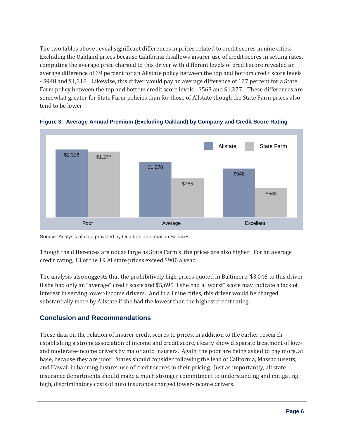The two tables above reveal significant differences in prices related to credit scores in nine cities. Excluding the Oakland prices because California disallows insurer use of credit scores in setting rates, computing the average price charged to this driver with different levels of credit score revealed an average difference of 39 percent for an Allstate policy between the top and bottom credit score levels - \$948 and \$1,318. Likewise, this driver would pay an average difference of 127 percent for a State Farm policy between the top and bottom credit score levels - \$563 and \$1,277. These differences are somewhat greater for State Farm policies than for those of Allstate though the State Farm prices also tend to be lower.



**Figure 3. Average Annual Premium (Excluding Oakland) by Company and Credit Score Rating**

Source: Analysis of data provided by Quadrant Information Services

Though the differences are not as large as State Farm's, the prices are also higher. For an average credit rating, 13 of the 19 Allstate prices exceed \$900 a year.

The analysis also suggests that the prohibitively high prices quoted in Baltimore, \$3,046 to this driver if she had only an "average" credit score and \$5,695 if she had a "worst" score may indicate a lack of interest in serving lower-income drivers. And in all nine cities, this driver would be charged substantially more by Allstate if she had the lowest than the highest credit rating.

## **Conclusion and Recommendations**

These data on the relation of insurer credit scores to prices, in addition to the earlier research establishing a strong association of income and credit score, clearly show disparate treatment of lowand moderate-income drivers by major auto insurers. Again, the poor are being asked to pay more, at base, because they are poor. States should consider following the lead of California, Massachusetts, and Hawaii in banning insurer use of credit scores in their pricing. Just as importantly, all state insurance departments should make a much stronger commitment to understanding and mitigating high, discriminatory costs of auto insurance charged lower-income drivers.